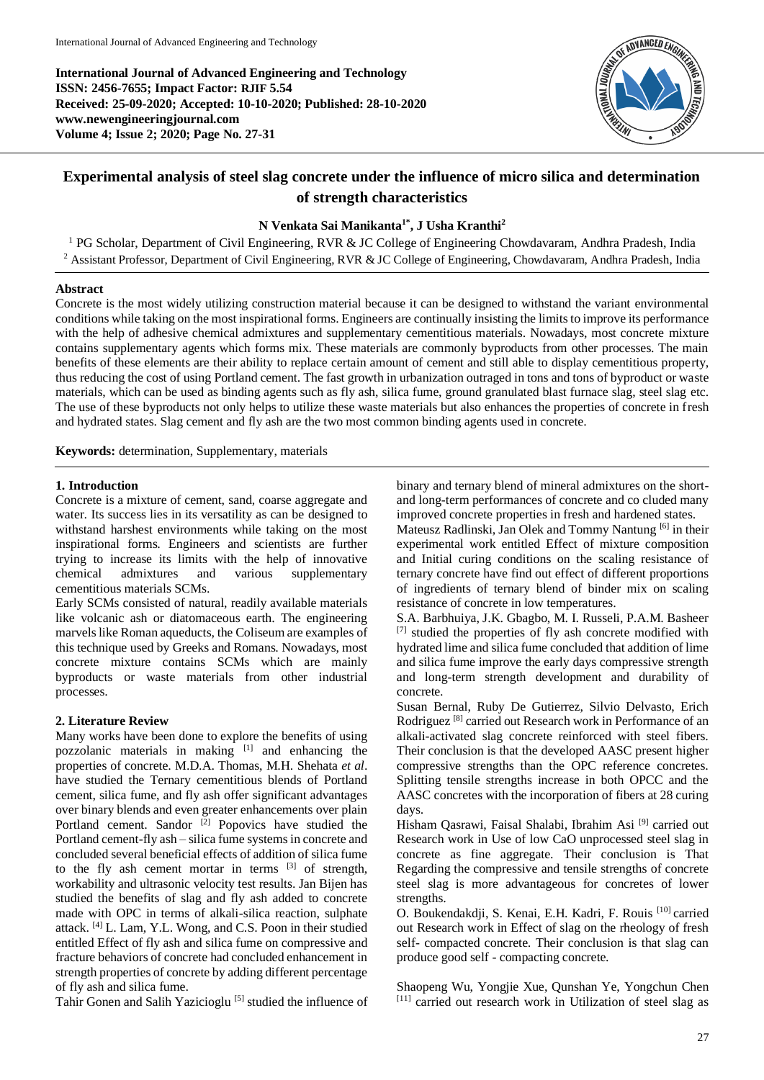**International Journal of Advanced Engineering and Technology ISSN: 2456-7655; Impact Factor: RJIF 5.54 Received: 25-09-2020; Accepted: 10-10-2020; Published: 28-10-2020 www.newengineeringjournal.com Volume 4; Issue 2; 2020; Page No. 27-31**



# **Experimental analysis of steel slag concrete under the influence of micro silica and determination of strength characteristics**

# **N Venkata Sai Manikanta1\*, J Usha Kranthi<sup>2</sup>**

<sup>1</sup> PG Scholar, Department of Civil Engineering, RVR & JC College of Engineering Chowdavaram, Andhra Pradesh, India <sup>2</sup> Assistant Professor, Department of Civil Engineering, RVR & JC College of Engineering, Chowdavaram, Andhra Pradesh, India

## **Abstract**

Concrete is the most widely utilizing construction material because it can be designed to withstand the variant environmental conditions while taking on the most inspirational forms. Engineers are continually insisting the limits to improve its performance with the help of adhesive chemical admixtures and supplementary cementitious materials. Nowadays, most concrete mixture contains supplementary agents which forms mix. These materials are commonly byproducts from other processes. The main benefits of these elements are their ability to replace certain amount of cement and still able to display cementitious property, thus reducing the cost of using Portland cement. The fast growth in urbanization outraged in tons and tons of byproduct or waste materials, which can be used as binding agents such as fly ash, silica fume, ground granulated blast furnace slag, steel slag etc. The use of these byproducts not only helps to utilize these waste materials but also enhances the properties of concrete in fresh and hydrated states. Slag cement and fly ash are the two most common binding agents used in concrete.

**Keywords:** determination, Supplementary, materials

#### **1. Introduction**

Concrete is a mixture of cement, sand, coarse aggregate and water. Its success lies in its versatility as can be designed to withstand harshest environments while taking on the most inspirational forms. Engineers and scientists are further trying to increase its limits with the help of innovative chemical admixtures and various supplementary cementitious materials SCMs.

Early SCMs consisted of natural, readily available materials like volcanic ash or diatomaceous earth. The engineering marvels like Roman aqueducts, the Coliseum are examples of this technique used by Greeks and Romans. Nowadays, most concrete mixture contains SCMs which are mainly byproducts or waste materials from other industrial processes.

### **2. Literature Review**

Many works have been done to explore the benefits of using pozzolanic materials in making  $[1]$  and enhancing the properties of concrete. M.D.A. Thomas, M.H. Shehata *et al*. have studied the Ternary cementitious blends of Portland cement, silica fume, and fly ash offer significant advantages over binary blends and even greater enhancements over plain Portland cement. Sandor  $\overline{2}$ ] Popovics have studied the Portland cement-fly ash – silica fume systems in concrete and concluded several beneficial effects of addition of silica fume to the fly ash cement mortar in terms  $[3]$  of strength, workability and ultrasonic velocity test results. Jan Bijen has studied the benefits of slag and fly ash added to concrete made with OPC in terms of alkali-silica reaction, sulphate attack. [4] L. Lam, Y.L. Wong, and C.S. Poon in their studied entitled Effect of fly ash and silica fume on compressive and fracture behaviors of concrete had concluded enhancement in strength properties of concrete by adding different percentage of fly ash and silica fume.

Tahir Gonen and Salih Yazicioglu [5] studied the influence of

binary and ternary blend of mineral admixtures on the shortand long-term performances of concrete and co cluded many improved concrete properties in fresh and hardened states. Mateusz Radlinski, Jan Olek and Tommy Nantung <sup>[6]</sup> in their

experimental work entitled Effect of mixture composition and Initial curing conditions on the scaling resistance of ternary concrete have find out effect of different proportions of ingredients of ternary blend of binder mix on scaling resistance of concrete in low temperatures.

S.A. Barbhuiya, J.K. Gbagbo, M. I. Russeli, P.A.M. Basheer [7] studied the properties of fly ash concrete modified with hydrated lime and silica fume concluded that addition of lime and silica fume improve the early days compressive strength and long-term strength development and durability of concrete.

Susan Bernal, Ruby De Gutierrez, Silvio Delvasto, Erich Rodriguez [8] carried out Research work in Performance of an alkali-activated slag concrete reinforced with steel fibers. Their conclusion is that the developed AASC present higher compressive strengths than the OPC reference concretes. Splitting tensile strengths increase in both OPCC and the AASC concretes with the incorporation of fibers at 28 curing days.

Hisham Qasrawi, Faisal Shalabi, Ibrahim Asi<sup>[9]</sup> carried out Research work in Use of low CaO unprocessed steel slag in concrete as fine aggregate. Their conclusion is That Regarding the compressive and tensile strengths of concrete steel slag is more advantageous for concretes of lower strengths.

O. Boukendakdji, S. Kenai, E.H. Kadri, F. Rouis [10] carried out Research work in Effect of slag on the rheology of fresh self- compacted concrete. Their conclusion is that slag can produce good self - compacting concrete.

Shaopeng Wu, Yongjie Xue, Qunshan Ye, Yongchun Chen [11] carried out research work in Utilization of steel slag as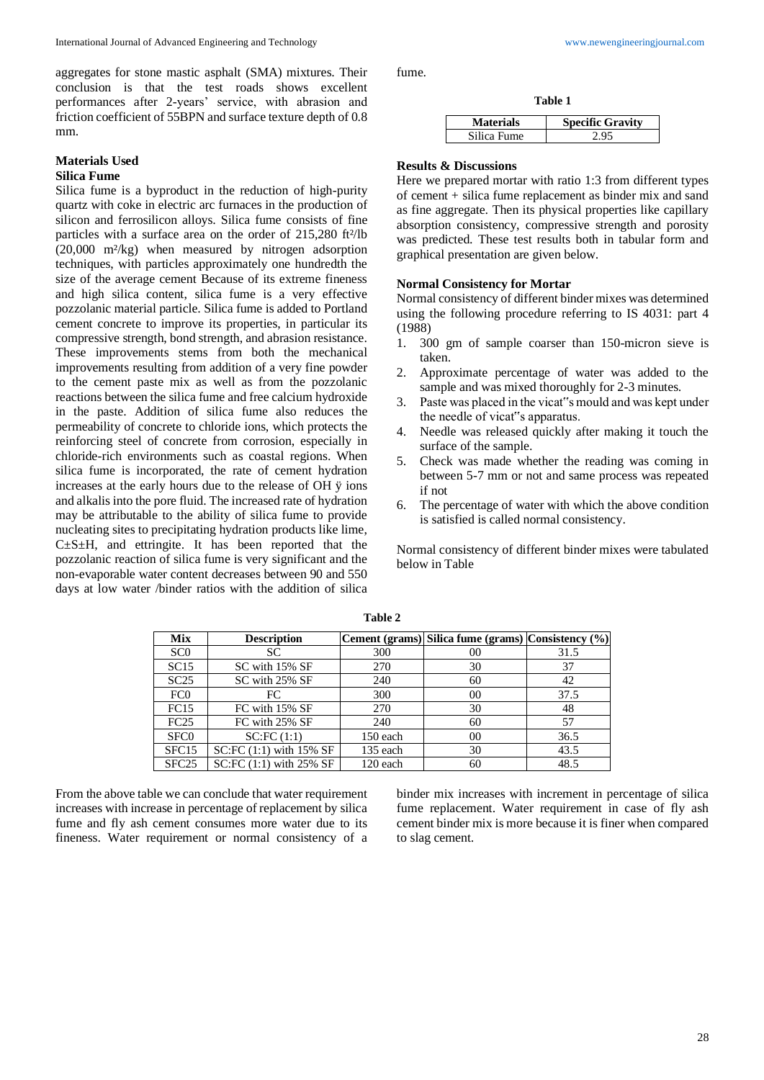aggregates for stone mastic asphalt (SMA) mixtures. Their conclusion is that the test roads shows excellent performances after 2-years' service, with abrasion and friction coefficient of 55BPN and surface texture depth of 0.8 mm.

# **Materials Used**

## **Silica Fume**

Silica fume is a byproduct in the reduction of high-purity quartz with coke in electric arc furnaces in the production of silicon and ferrosilicon alloys. Silica fume consists of fine particles with a surface area on the order of 215,280 ft<sup>2</sup>/lb (20,000 m²/kg) when measured by nitrogen adsorption techniques, with particles approximately one hundredth the size of the average cement Because of its extreme fineness and high silica content, silica fume is a very effective pozzolanic material particle. Silica fume is added to Portland cement concrete to improve its properties, in particular its compressive strength, bond strength, and abrasion resistance. These improvements stems from both the mechanical improvements resulting from addition of a very fine powder to the cement paste mix as well as from the pozzolanic reactions between the silica fume and free calcium hydroxide in the paste. Addition of silica fume also reduces the permeability of concrete to chloride ions, which protects the reinforcing steel of concrete from corrosion, especially in chloride-rich environments such as coastal regions. When silica fume is incorporated, the rate of cement hydration increases at the early hours due to the release of OH ÿ ions and alkalis into the pore fluid. The increased rate of hydration may be attributable to the ability of silica fume to provide nucleating sites to precipitating hydration products like lime,  $C \pm S \pm H$ , and ettringite. It has been reported that the pozzolanic reaction of silica fume is very significant and the non-evaporable water content decreases between 90 and 550 days at low water /binder ratios with the addition of silica fume.

**Table 1**

| <b>Materials</b> | <b>Specific Gravity</b> |
|------------------|-------------------------|
| Silica Fume      | 2.95                    |

### **Results & Discussions**

Here we prepared mortar with ratio 1:3 from different types of cement + silica fume replacement as binder mix and sand as fine aggregate. Then its physical properties like capillary absorption consistency, compressive strength and porosity was predicted. These test results both in tabular form and graphical presentation are given below.

#### **Normal Consistency for Mortar**

Normal consistency of different binder mixes was determined using the following procedure referring to IS 4031: part 4 (1988)

- 1. 300 gm of sample coarser than 150-micron sieve is taken.
- 2. Approximate percentage of water was added to the sample and was mixed thoroughly for 2-3 minutes.
- 3. Paste was placed in the vicat"s mould and was kept under the needle of vicat"s apparatus.
- 4. Needle was released quickly after making it touch the surface of the sample.
- 5. Check was made whether the reading was coming in between 5-7 mm or not and same process was repeated if not
- 6. The percentage of water with which the above condition is satisfied is called normal consistency.

Normal consistency of different binder mixes were tabulated below in Table

| <b>Mix</b>        | <b>Description</b>      |          | Cement (grams) Silica fume (grams) Consistency (%) |      |
|-------------------|-------------------------|----------|----------------------------------------------------|------|
| SC <sub>0</sub>   | SC.                     | 300      | 00                                                 | 31.5 |
| SC15              | SC with 15% SF          | 270      | 30                                                 | 37   |
| SC25              | SC with 25% SF          | 240      | 60                                                 | 42   |
| FC <sub>0</sub>   | FC                      | 300      | 0 <sup>0</sup>                                     | 37.5 |
| FC15              | FC with 15% SF          | 270      | 30                                                 | 48   |
| FC25              | FC with 25% SF          | 240      | 60                                                 | 57   |
| SFC <sub>0</sub>  | SC:FC(1:1)              | 150 each | 0 <sup>0</sup>                                     | 36.5 |
| SFC <sub>15</sub> | SC:FC (1:1) with 15% SF | 135 each | 30                                                 | 43.5 |
| SFC <sub>25</sub> | SC:FC (1:1) with 25% SF | 120 each | 60                                                 | 48.5 |

**Table 2**

From the above table we can conclude that water requirement increases with increase in percentage of replacement by silica fume and fly ash cement consumes more water due to its fineness. Water requirement or normal consistency of a

binder mix increases with increment in percentage of silica fume replacement. Water requirement in case of fly ash cement binder mix is more because it is finer when compared to slag cement.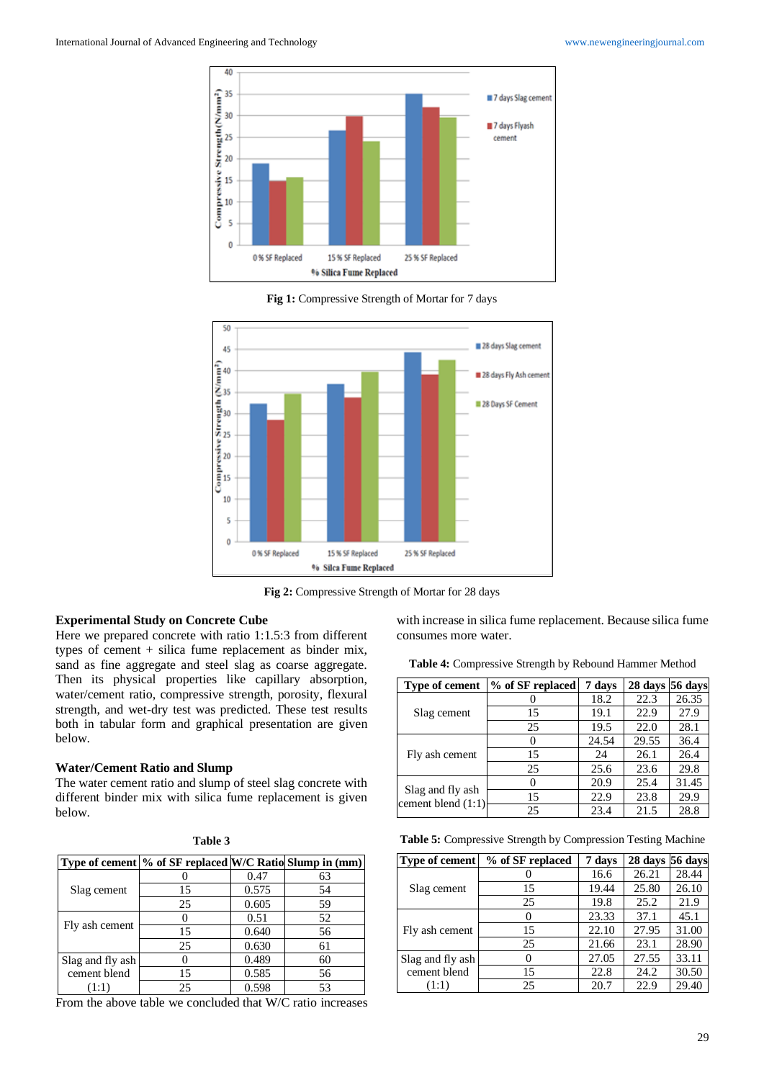

**Fig 1:** Compressive Strength of Mortar for 7 days



**Fig 2:** Compressive Strength of Mortar for 28 days

## **Experimental Study on Concrete Cube**

Here we prepared concrete with ratio 1:1.5:3 from different types of cement + silica fume replacement as binder mix, sand as fine aggregate and steel slag as coarse aggregate. Then its physical properties like capillary absorption, water/cement ratio, compressive strength, porosity, flexural strength, and wet-dry test was predicted. These test results both in tabular form and graphical presentation are given below.

### **Water/Cement Ratio and Slump**

The water cement ratio and slump of steel slag concrete with different binder mix with silica fume replacement is given below.

| Table 3          |                                                          |       |    |  |
|------------------|----------------------------------------------------------|-------|----|--|
|                  | Type of cement \% of SF replaced W/C Ratio Slump in (mm) |       |    |  |
| Slag cement      |                                                          | 0.47  | 63 |  |
|                  | 15                                                       | 0.575 | 54 |  |
|                  | 25                                                       | 0.605 | 59 |  |
| Fly ash cement   |                                                          | 0.51  | 52 |  |
|                  | 15                                                       | 0.640 | 56 |  |
|                  | 25                                                       | 0.630 | 61 |  |
| Slag and fly ash |                                                          | 0.489 | 60 |  |
| cement blend     | 15                                                       | 0.585 | 56 |  |
| (1:1)            | 25                                                       | 0.598 | 53 |  |

From the above table we concluded that W/C ratio increases

with increase in silica fume replacement. Because silica fume consumes more water.

| Table 4: Compressive Strength by Rebound Hammer Method |  |
|--------------------------------------------------------|--|
|--------------------------------------------------------|--|

| Type of cement                           | % of SF replaced | 7 days | $28$ days 56 days |       |
|------------------------------------------|------------------|--------|-------------------|-------|
| Slag cement                              |                  | 18.2   | 22.3              | 26.35 |
|                                          | 15               | 19.1   | 22.9              | 27.9  |
|                                          | 25               | 19.5   | 22.0              | 28.1  |
| Fly ash cement                           |                  | 24.54  | 29.55             | 36.4  |
|                                          | 15               | 24     | 26.1              | 26.4  |
|                                          | 25               | 25.6   | 23.6              | 29.8  |
| Slag and fly ash<br>cement blend $(1:1)$ |                  | 20.9   | 25.4              | 31.45 |
|                                          | 15               | 22.9   | 23.8              | 29.9  |
|                                          | 25               | 23.4   | 21.5              | 28.8  |

**Table 5:** Compressive Strength by Compression Testing Machine

| <b>Type of cement</b> | % of SF replaced | 7 days | 28 days 56 days |       |
|-----------------------|------------------|--------|-----------------|-------|
| Slag cement           |                  | 16.6   | 26.21           | 28.44 |
|                       | 15               | 19.44  | 25.80           | 26.10 |
|                       | 25               | 19.8   | 25.2            | 21.9  |
| Fly ash cement        |                  | 23.33  | 37.1            | 45.1  |
|                       | 15               | 22.10  | 27.95           | 31.00 |
|                       | 25               | 21.66  | 23.1            | 28.90 |
| Slag and fly ash      |                  | 27.05  | 27.55           | 33.11 |
| cement blend          | 15               | 22.8   | 24.2            | 30.50 |
| (1:1)                 | 25               | 20.7   | 22.9            | 29.40 |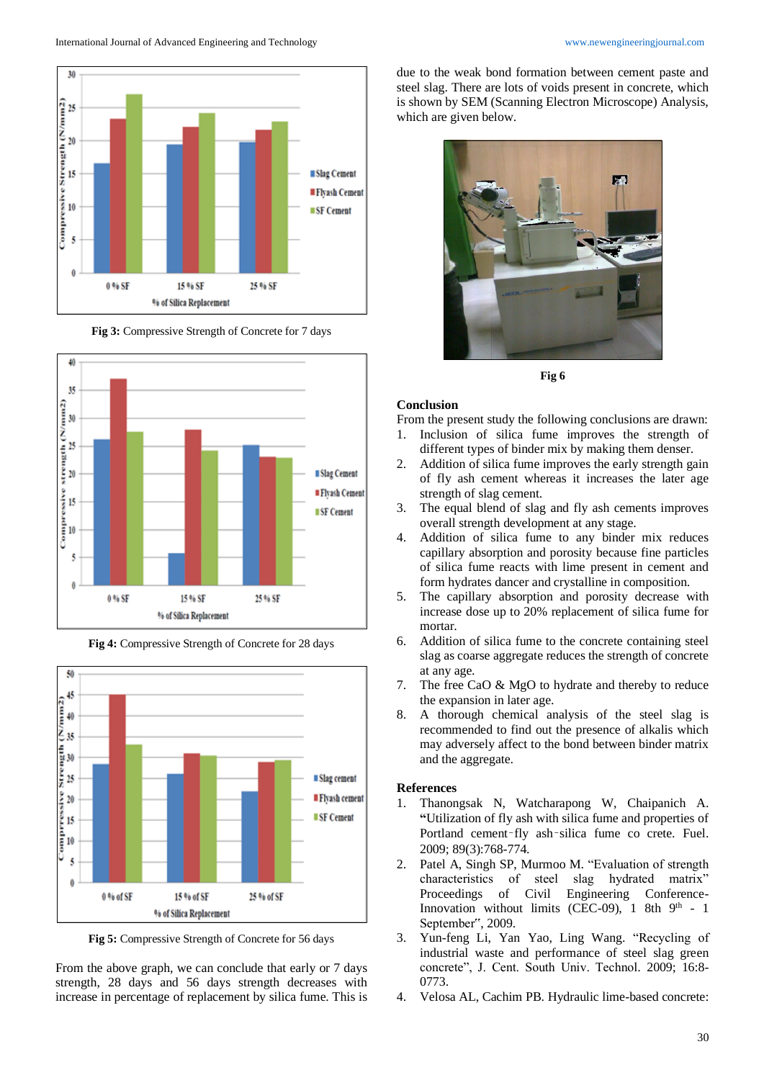

**Fig 3:** Compressive Strength of Concrete for 7 days





**Fig 4:** Compressive Strength of Concrete for 28 days

**Fig 5:** Compressive Strength of Concrete for 56 days

From the above graph, we can conclude that early or 7 days strength, 28 days and 56 days strength decreases with increase in percentage of replacement by silica fume. This is due to the weak bond formation between cement paste and steel slag. There are lots of voids present in concrete, which is shown by SEM (Scanning Electron Microscope) Analysis, which are given below.



**Fig 6**

#### **Conclusion**

- From the present study the following conclusions are drawn:
- 1. Inclusion of silica fume improves the strength of different types of binder mix by making them denser.
- Addition of silica fume improves the early strength gain of fly ash cement whereas it increases the later age strength of slag cement.
- 3. The equal blend of slag and fly ash cements improves overall strength development at any stage.
- 4. Addition of silica fume to any binder mix reduces capillary absorption and porosity because fine particles of silica fume reacts with lime present in cement and form hydrates dancer and crystalline in composition.
- 5. The capillary absorption and porosity decrease with increase dose up to 20% replacement of silica fume for mortar.
- 6. Addition of silica fume to the concrete containing steel slag as coarse aggregate reduces the strength of concrete at any age.
- 7. The free CaO & MgO to hydrate and thereby to reduce the expansion in later age.
- 8. A thorough chemical analysis of the steel slag is recommended to find out the presence of alkalis which may adversely affect to the bond between binder matrix and the aggregate.

### **References**

- 1. Thanongsak N, Watcharapong W, Chaipanich A. **"**Utilization of fly ash with silica fume and properties of Portland cement–fly ash–silica fume co crete. Fuel. 2009; 89(3):768-774.
- 2. Patel A, Singh SP, Murmoo M. "Evaluation of strength characteristics of steel slag hydrated matrix" Proceedings of Civil Engineering Conference-Innovation without limits (CEC-09),  $1$  8th  $9<sup>th</sup>$  - 1 September", 2009.
- 3. Yun-feng Li, Yan Yao, Ling Wang. "Recycling of industrial waste and performance of steel slag green concrete", J. Cent. South Univ. Technol. 2009; 16:8- 0773.
- 4. Velosa AL, Cachim PB. Hydraulic lime-based concrete: